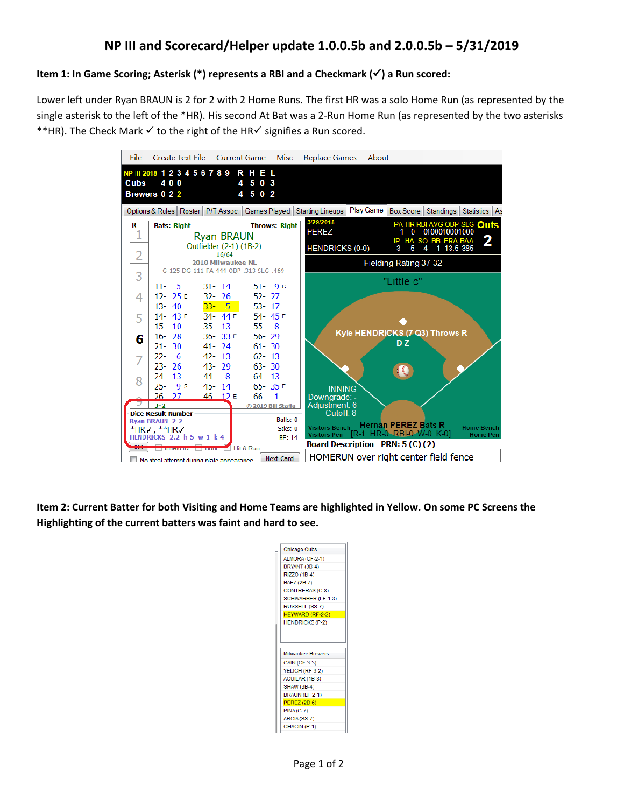## **Item 1: In Game Scoring; Asterisk (\*) represents a RBI and a Checkmark () a Run scored:**

Lower left under Ryan BRAUN is 2 for 2 with 2 Home Runs. The first HR was a solo Home Run (as represented by the single asterisk to the left of the \*HR). His second At Bat was a 2-Run Home Run (as represented by the two asterisks \*\*HR). The Check Mark  $\checkmark$  to the right of the HR $\checkmark$  signifies a Run scored.



**Item 2: Current Batter for both Visiting and Home Teams are highlighted in Yellow. On some PC Screens the Highlighting of the current batters was faint and hard to see.** 

| Chicago Cubs             |
|--------------------------|
| ALMORA (CF-2-1)          |
| BRYANT (3B-4)            |
| RIZZO (1B-4)             |
| BAEZ (2B-7)              |
| CONTRERAS (C-8)          |
| SCHWARBER (LF-1-3)       |
| RUSSELL (SS-7)           |
| HEYWARD (RF-2-2)         |
| <b>HENDRICKS (P-2)</b>   |
|                          |
|                          |
| <b>Milwaukee Brewers</b> |
| <b>CAIN (CF-3-3)</b>     |
| YELICH (RF-3-2)          |
| AGUILAR (1B-3)           |
| <b>SHAW (3B-4)</b>       |
| <b>BRAUN (LF-2-1)</b>    |
| <b>PEREZ (2B-6)</b>      |
| $PINA(C-7)$              |
| ARCIA (SS-7)             |
| CHACIN (P-1)             |
|                          |